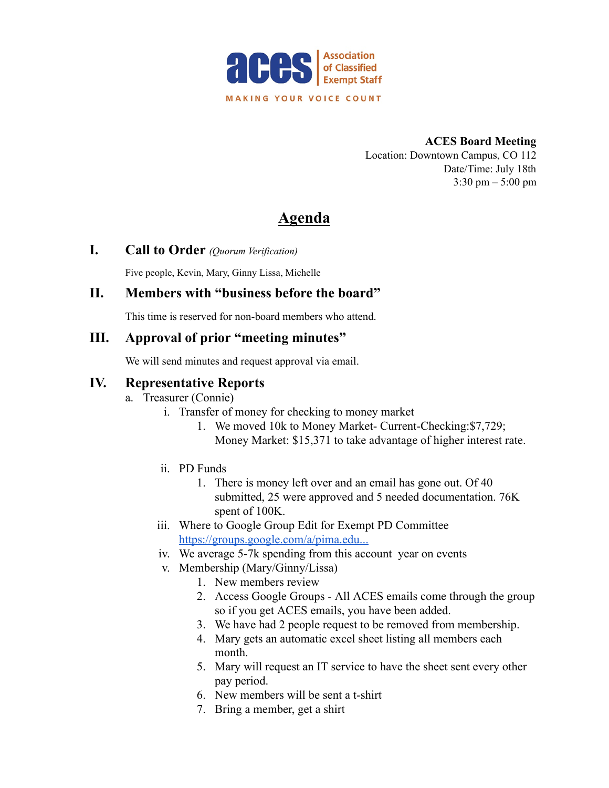

**ACES Board Meeting** Location: Downtown Campus, CO 112 Date/Time: July 18th  $3:30 \text{ pm} - 5:00 \text{ pm}$ 

# **Agenda**

**I. Call to Order** *(Quorum Verification)*

Five people, Kevin, Mary, Ginny Lissa, Michelle

### **II. Members with "business before the board"**

This time is reserved for non-board members who attend.

### **III. Approval of prior "meeting minutes"**

We will send minutes and request approval via email.

#### **IV. Representative Reports**

- a. Treasurer (Connie)
	- i. Transfer of money for checking to money market
		- 1. We moved 10k to Money Market- Current-Checking:\$7,729; Money Market: \$15,371 to take advantage of higher interest rate.
	- ii. PD Funds
		- 1. There is money left over and an email has gone out. Of 40 submitted, 25 were approved and 5 needed documentation. 76K spent of 100K.
	- iii. Where to Google Group Edit for Exempt PD Committee <https://groups.google.com/a/pima.edu...>
	- iv. We average 5-7k spending from this account year on events
	- v. Membership (Mary/Ginny/Lissa)
		- 1. New members review
		- 2. Access Google Groups All ACES emails come through the group so if you get ACES emails, you have been added.
		- 3. We have had 2 people request to be removed from membership.
		- 4. Mary gets an automatic excel sheet listing all members each month.
		- 5. Mary will request an IT service to have the sheet sent every other pay period.
		- 6. New members will be sent a t-shirt
		- 7. Bring a member, get a shirt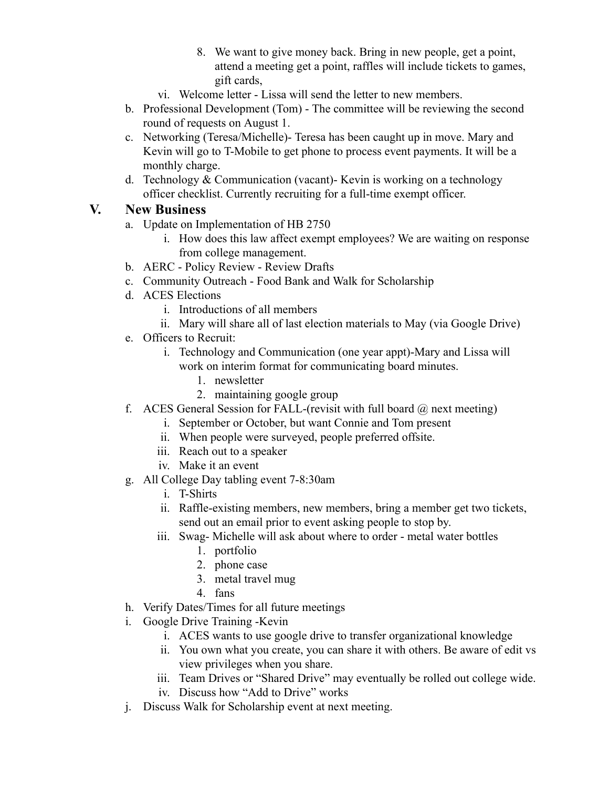- 8. We want to give money back. Bring in new people, get a point, attend a meeting get a point, raffles will include tickets to games, gift cards,
- vi. Welcome letter Lissa will send the letter to new members.
- b. Professional Development (Tom) The committee will be reviewing the second round of requests on August 1.
- c. Networking (Teresa/Michelle)- Teresa has been caught up in move. Mary and Kevin will go to T-Mobile to get phone to process event payments. It will be a monthly charge.
- d. Technology & Communication (vacant)- Kevin is working on a technology officer checklist. Currently recruiting for a full-time exempt officer.

## **V. New Business**

- a. Update on Implementation of HB 2750
	- i. How does this law affect exempt employees? We are waiting on response from college management.
- b. AERC Policy Review Review Drafts
- c. Community Outreach Food Bank and Walk for Scholarship
- d. ACES Elections
	- i. Introductions of all members
	- ii. Mary will share all of last election materials to May (via Google Drive)
- e. Officers to Recruit:
	- i. Technology and Communication (one year appt)-Mary and Lissa will work on interim format for communicating board minutes.
		- 1. newsletter
		- 2. maintaining google group
- f. ACES General Session for FALL-(revisit with full board  $\omega$  next meeting)
	- i. September or October, but want Connie and Tom present
	- ii. When people were surveyed, people preferred offsite.
	- iii. Reach out to a speaker
	- iv. Make it an event
- g. All College Day tabling event 7-8:30am
	- i. T-Shirts
	- ii. Raffle-existing members, new members, bring a member get two tickets, send out an email prior to event asking people to stop by.
	- iii. Swag- Michelle will ask about where to order metal water bottles
		- 1. portfolio
		- 2. phone case
		- 3. metal travel mug
		- 4. fans
- h. Verify Dates/Times for all future meetings
- i. Google Drive Training -Kevin
	- i. ACES wants to use google drive to transfer organizational knowledge
	- ii. You own what you create, you can share it with others. Be aware of edit vs view privileges when you share.
	- iii. Team Drives or "Shared Drive" may eventually be rolled out college wide. iv. Discuss how "Add to Drive" works
- j. Discuss Walk for Scholarship event at next meeting.